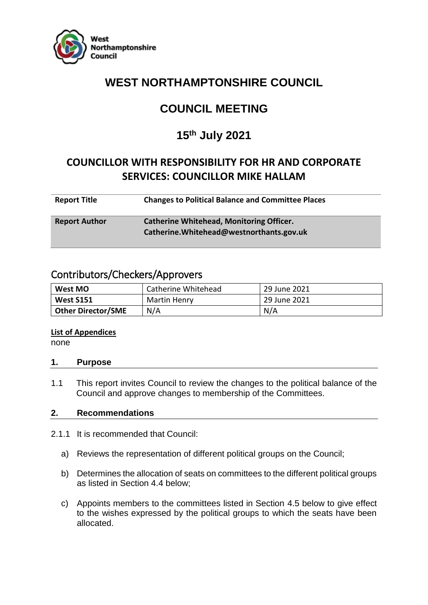

# **WEST NORTHAMPTONSHIRE COUNCIL**

# **COUNCIL MEETING**

# **15th July 2021**

# **COUNCILLOR WITH RESPONSIBILITY FOR HR AND CORPORATE SERVICES: COUNCILLOR MIKE HALLAM**

| <b>Report Title</b>  | <b>Changes to Political Balance and Committee Places</b> |
|----------------------|----------------------------------------------------------|
| <b>Report Author</b> | <b>Catherine Whitehead, Monitoring Officer.</b>          |

**Catherine.Whitehead@westnorthants.gov.uk**

# Contributors/Checkers/Approvers

| Catherine Whitehead<br>West MO |              | 29 June 2021 |  |
|--------------------------------|--------------|--------------|--|
| <b>West S151</b>               | Martin Henry | 29 June 2021 |  |
| <b>Other Director/SME</b>      | N/A          | N/A          |  |

#### **List of Appendices**

none

# **1. Purpose**

1.1 This report invites Council to review the changes to the political balance of the Council and approve changes to membership of the Committees.

# **2. Recommendations**

- 2.1.1 It is recommended that Council:
	- a) Reviews the representation of different political groups on the Council;
	- b) Determines the allocation of seats on committees to the different political groups as listed in Section 4.4 below;
	- c) Appoints members to the committees listed in Section 4.5 below to give effect to the wishes expressed by the political groups to which the seats have been allocated.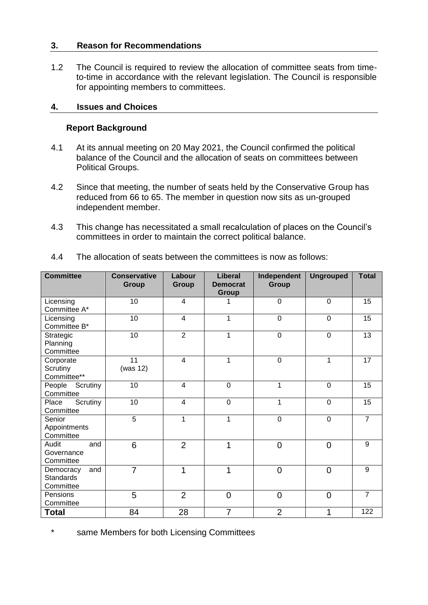# **3. Reason for Recommendations**

1.2 The Council is required to review the allocation of committee seats from timeto-time in accordance with the relevant legislation. The Council is responsible for appointing members to committees.

# **4. Issues and Choices**

### **Report Background**

- 4.1 At its annual meeting on 20 May 2021, the Council confirmed the political balance of the Council and the allocation of seats on committees between Political Groups.
- 4.2 Since that meeting, the number of seats held by the Conservative Group has reduced from 66 to 65. The member in question now sits as un-grouped independent member.
- 4.3 This change has necessitated a small recalculation of places on the Council's committees in order to maintain the correct political balance.

| <b>Committee</b>                                  | <b>Conservative</b><br>Group | Labour<br><b>Group</b> | <b>Liberal</b><br><b>Democrat</b><br><b>Group</b> | Independent<br><b>Group</b> | <b>Ungrouped</b> | <b>Total</b>   |
|---------------------------------------------------|------------------------------|------------------------|---------------------------------------------------|-----------------------------|------------------|----------------|
| Licensing<br>Committee A*                         | 10                           | 4                      |                                                   | 0                           | $\Omega$         | 15             |
| Licensing<br>Committee B*                         | 10                           | $\overline{4}$         | 1                                                 | $\mathbf 0$                 | $\overline{0}$   | 15             |
| Strategic<br>Planning<br>Committee                | 10                           | $\overline{2}$         | 1                                                 | $\mathbf 0$                 | $\mathbf 0$      | 13             |
| Corporate<br>Scrutiny<br>Committee**              | 11<br>(was $12$ )            | $\overline{4}$         | 1                                                 | $\mathbf 0$                 | 1                | 17             |
| People<br>Scrutiny<br>Committee                   | 10                           | 4                      | $\mathbf 0$                                       | 1                           | $\mathbf 0$      | 15             |
| Scrutiny<br>Place<br>Committee                    | 10                           | 4                      | $\mathbf 0$                                       | 1                           | 0                | 15             |
| Senior<br>Appointments<br>Committee               | 5                            | 1                      | 1                                                 | 0                           | $\mathbf 0$      | $\overline{7}$ |
| Audit<br>and<br>Governance<br>Committee           | 6                            | $\overline{2}$         | 1                                                 | $\overline{0}$              | $\overline{0}$   | 9              |
| Democracy<br>and<br><b>Standards</b><br>Committee | $\overline{7}$               | 1                      | 1                                                 | $\overline{0}$              | $\overline{0}$   | 9              |
| Pensions<br>Committee                             | 5                            | $\overline{2}$         | $\overline{0}$                                    | $\overline{0}$              | $\overline{0}$   | $\overline{7}$ |
| <b>Total</b>                                      | 84                           | 28                     | 7                                                 | $\overline{2}$              | 1                | 122            |

4.4 The allocation of seats between the committees is now as follows:

\* same Members for both Licensing Committees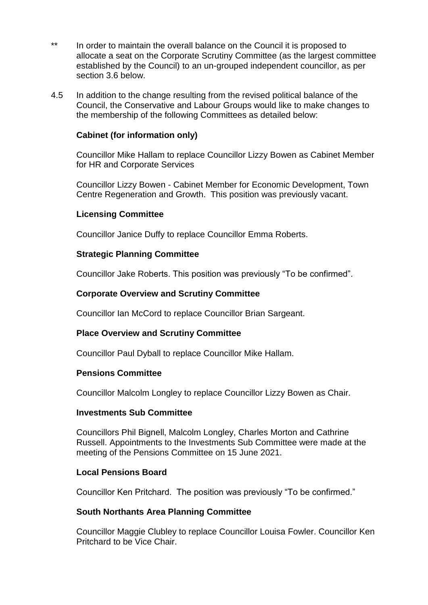- \*\* In order to maintain the overall balance on the Council it is proposed to allocate a seat on the Corporate Scrutiny Committee (as the largest committee established by the Council) to an un-grouped independent councillor, as per section 3.6 below.
- 4.5 In addition to the change resulting from the revised political balance of the Council, the Conservative and Labour Groups would like to make changes to the membership of the following Committees as detailed below:

# **Cabinet (for information only)**

Councillor Mike Hallam to replace Councillor Lizzy Bowen as Cabinet Member for HR and Corporate Services

Councillor Lizzy Bowen - Cabinet Member for Economic Development, Town Centre Regeneration and Growth. This position was previously vacant.

#### **Licensing Committee**

Councillor Janice Duffy to replace Councillor Emma Roberts.

# **Strategic Planning Committee**

Councillor Jake Roberts. This position was previously "To be confirmed".

# **Corporate Overview and Scrutiny Committee**

Councillor Ian McCord to replace Councillor Brian Sargeant.

#### **Place Overview and Scrutiny Committee**

Councillor Paul Dyball to replace Councillor Mike Hallam.

#### **Pensions Committee**

Councillor Malcolm Longley to replace Councillor Lizzy Bowen as Chair.

#### **Investments Sub Committee**

Councillors Phil Bignell, Malcolm Longley, Charles Morton and Cathrine Russell. Appointments to the Investments Sub Committee were made at the meeting of the Pensions Committee on 15 June 2021.

#### **Local Pensions Board**

Councillor Ken Pritchard. The position was previously "To be confirmed."

#### **South Northants Area Planning Committee**

Councillor Maggie Clubley to replace Councillor Louisa Fowler. Councillor Ken Pritchard to be Vice Chair.